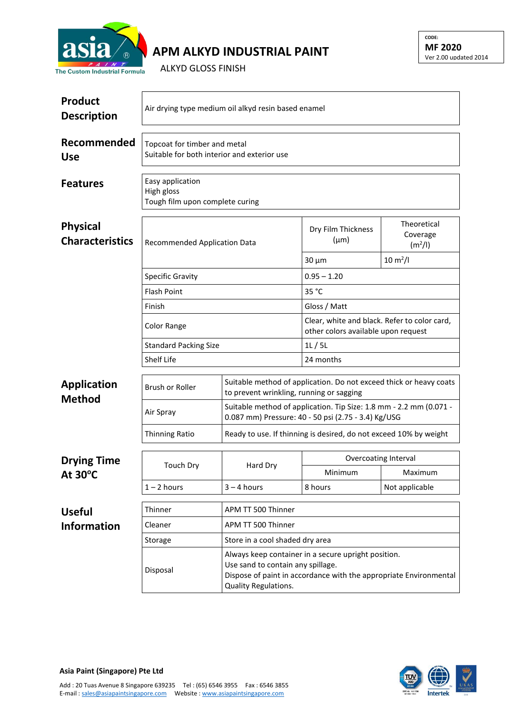

## **APM ALKYD INDUSTRIAL PAINT**

ALKYD GLOSS FINISH

| <b>Product</b><br><b>Description</b>      | Air drying type medium oil alkyd resin based enamel                         |                                                                                                                           |                                                                                                                                                               |                                                                       |  |  |
|-------------------------------------------|-----------------------------------------------------------------------------|---------------------------------------------------------------------------------------------------------------------------|---------------------------------------------------------------------------------------------------------------------------------------------------------------|-----------------------------------------------------------------------|--|--|
| Recommended<br><b>Use</b>                 | Topcoat for timber and metal<br>Suitable for both interior and exterior use |                                                                                                                           |                                                                                                                                                               |                                                                       |  |  |
| <b>Features</b>                           | Easy application<br>High gloss<br>Tough film upon complete curing           |                                                                                                                           |                                                                                                                                                               |                                                                       |  |  |
| <b>Physical</b><br><b>Characteristics</b> | <b>Recommended Application Data</b>                                         |                                                                                                                           | Dry Film Thickness<br>$(\mu m)$<br>$30 \mu m$                                                                                                                 | Theoretical<br>Coverage<br>(m <sup>2</sup> /I)<br>$10 \text{ m}^2$ /l |  |  |
|                                           |                                                                             |                                                                                                                           | $0.95 - 1.20$                                                                                                                                                 |                                                                       |  |  |
|                                           | <b>Specific Gravity</b><br><b>Flash Point</b><br>Finish<br>Color Range      |                                                                                                                           | 35 °C                                                                                                                                                         |                                                                       |  |  |
|                                           |                                                                             |                                                                                                                           | Gloss / Matt                                                                                                                                                  |                                                                       |  |  |
|                                           |                                                                             |                                                                                                                           | Clear, white and black. Refer to color card,<br>other colors available upon request                                                                           |                                                                       |  |  |
|                                           | <b>Standard Packing Size</b>                                                |                                                                                                                           | 1L/5L                                                                                                                                                         |                                                                       |  |  |
|                                           | <b>Shelf Life</b>                                                           |                                                                                                                           | 24 months                                                                                                                                                     |                                                                       |  |  |
| <b>Application</b><br><b>Method</b>       | <b>Brush or Roller</b>                                                      | Suitable method of application. Do not exceed thick or heavy coats<br>to prevent wrinkling, running or sagging            |                                                                                                                                                               |                                                                       |  |  |
|                                           | Air Spray                                                                   | Suitable method of application. Tip Size: 1.8 mm - 2.2 mm (0.071 -<br>0.087 mm) Pressure: 40 - 50 psi (2.75 - 3.4) Kg/USG |                                                                                                                                                               |                                                                       |  |  |
|                                           | <b>Thinning Ratio</b>                                                       | Ready to use. If thinning is desired, do not exceed 10% by weight                                                         |                                                                                                                                                               |                                                                       |  |  |
| <b>Drying Time</b><br>At $30^{\circ}$ C   | <b>Touch Dry</b>                                                            | Hard Dry                                                                                                                  | Overcoating Interval                                                                                                                                          |                                                                       |  |  |
|                                           |                                                                             |                                                                                                                           | Minimum                                                                                                                                                       | Maximum                                                               |  |  |
|                                           | $1 - 2$ hours                                                               | $3 - 4$ hours                                                                                                             | 8 hours                                                                                                                                                       | Not applicable                                                        |  |  |
| <b>Useful</b>                             | Thinner                                                                     | APM TT 500 Thinner                                                                                                        |                                                                                                                                                               |                                                                       |  |  |
| <b>Information</b>                        | Cleaner                                                                     | APM TT 500 Thinner                                                                                                        |                                                                                                                                                               |                                                                       |  |  |
|                                           | Storage                                                                     | Store in a cool shaded dry area                                                                                           |                                                                                                                                                               |                                                                       |  |  |
|                                           | Disposal                                                                    | Quality Regulations.                                                                                                      | Always keep container in a secure upright position.<br>Use sand to contain any spillage.<br>Dispose of paint in accordance with the appropriate Environmental |                                                                       |  |  |